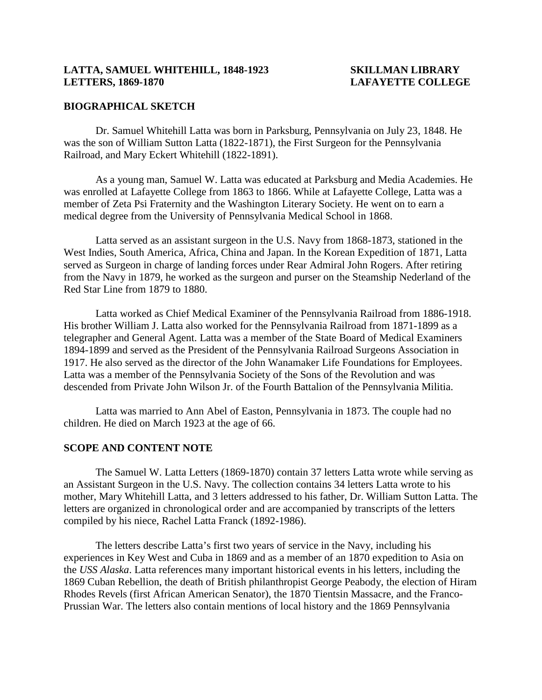## **LATTA, SAMUEL WHITEHILL, 1848-1923 SKILLMAN LIBRARY LETTERS, 1869-1870 LAFAYETTE COLLEGE**

#### **BIOGRAPHICAL SKETCH**

Dr. Samuel Whitehill Latta was born in Parksburg, Pennsylvania on July 23, 1848. He was the son of William Sutton Latta (1822-1871), the First Surgeon for the Pennsylvania Railroad, and Mary Eckert Whitehill (1822-1891).

As a young man, Samuel W. Latta was educated at Parksburg and Media Academies. He was enrolled at Lafayette College from 1863 to 1866. While at Lafayette College, Latta was a member of Zeta Psi Fraternity and the Washington Literary Society. He went on to earn a medical degree from the University of Pennsylvania Medical School in 1868.

Latta served as an assistant surgeon in the U.S. Navy from 1868-1873, stationed in the West Indies, South America, Africa, China and Japan. In the Korean Expedition of 1871, Latta served as Surgeon in charge of landing forces under Rear Admiral John Rogers. After retiring from the Navy in 1879, he worked as the surgeon and purser on the Steamship Nederland of the Red Star Line from 1879 to 1880.

Latta worked as Chief Medical Examiner of the Pennsylvania Railroad from 1886-1918. His brother William J. Latta also worked for the Pennsylvania Railroad from 1871-1899 as a telegrapher and General Agent. Latta was a member of the State Board of Medical Examiners 1894-1899 and served as the President of the Pennsylvania Railroad Surgeons Association in 1917. He also served as the director of the John Wanamaker Life Foundations for Employees. Latta was a member of the Pennsylvania Society of the Sons of the Revolution and was descended from Private John Wilson Jr. of the Fourth Battalion of the Pennsylvania Militia.

Latta was married to Ann Abel of Easton, Pennsylvania in 1873. The couple had no children. He died on March 1923 at the age of 66.

## **SCOPE AND CONTENT NOTE**

The Samuel W. Latta Letters (1869-1870) contain 37 letters Latta wrote while serving as an Assistant Surgeon in the U.S. Navy. The collection contains 34 letters Latta wrote to his mother, Mary Whitehill Latta, and 3 letters addressed to his father, Dr. William Sutton Latta. The letters are organized in chronological order and are accompanied by transcripts of the letters compiled by his niece, Rachel Latta Franck (1892-1986).

The letters describe Latta's first two years of service in the Navy, including his experiences in Key West and Cuba in 1869 and as a member of an 1870 expedition to Asia on the *USS Alaska*. Latta references many important historical events in his letters, including the 1869 Cuban Rebellion, the death of British philanthropist George Peabody, the election of Hiram Rhodes Revels (first African American Senator), the 1870 Tientsin Massacre, and the Franco-Prussian War. The letters also contain mentions of local history and the 1869 Pennsylvania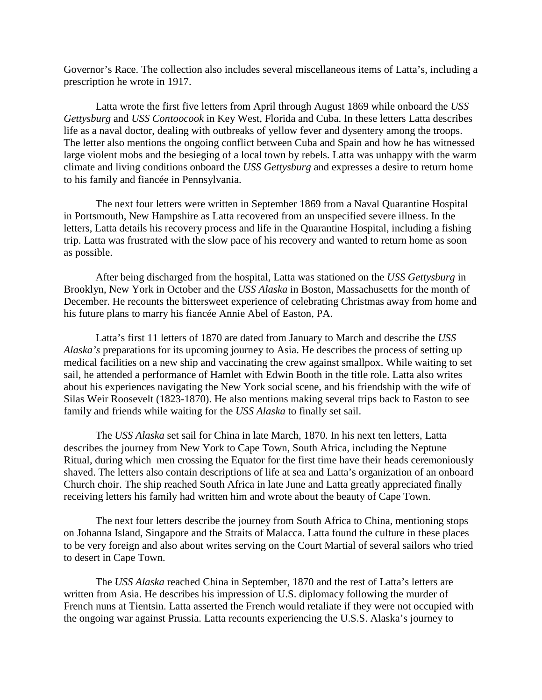Governor's Race. The collection also includes several miscellaneous items of Latta's, including a prescription he wrote in 1917.

Latta wrote the first five letters from April through August 1869 while onboard the *USS Gettysburg* and *USS Contoocook* in Key West, Florida and Cuba. In these letters Latta describes life as a naval doctor, dealing with outbreaks of yellow fever and dysentery among the troops. The letter also mentions the ongoing conflict between Cuba and Spain and how he has witnessed large violent mobs and the besieging of a local town by rebels. Latta was unhappy with the warm climate and living conditions onboard the *USS Gettysburg* and expresses a desire to return home to his family and fiancée in Pennsylvania.

The next four letters were written in September 1869 from a Naval Quarantine Hospital in Portsmouth, New Hampshire as Latta recovered from an unspecified severe illness. In the letters, Latta details his recovery process and life in the Quarantine Hospital, including a fishing trip. Latta was frustrated with the slow pace of his recovery and wanted to return home as soon as possible.

After being discharged from the hospital, Latta was stationed on the *USS Gettysburg* in Brooklyn, New York in October and the *USS Alaska* in Boston, Massachusetts for the month of December. He recounts the bittersweet experience of celebrating Christmas away from home and his future plans to marry his fiancée Annie Abel of Easton, PA.

Latta's first 11 letters of 1870 are dated from January to March and describe the *USS Alaska's* preparations for its upcoming journey to Asia. He describes the process of setting up medical facilities on a new ship and vaccinating the crew against smallpox. While waiting to set sail, he attended a performance of Hamlet with Edwin Booth in the title role. Latta also writes about his experiences navigating the New York social scene, and his friendship with the wife of Silas Weir Roosevelt (1823-1870). He also mentions making several trips back to Easton to see family and friends while waiting for the *USS Alaska* to finally set sail.

The *USS Alaska* set sail for China in late March, 1870. In his next ten letters, Latta describes the journey from New York to Cape Town, South Africa, including the Neptune Ritual, during which men crossing the Equator for the first time have their heads ceremoniously shaved. The letters also contain descriptions of life at sea and Latta's organization of an onboard Church choir. The ship reached South Africa in late June and Latta greatly appreciated finally receiving letters his family had written him and wrote about the beauty of Cape Town.

The next four letters describe the journey from South Africa to China, mentioning stops on Johanna Island, Singapore and the Straits of Malacca. Latta found the culture in these places to be very foreign and also about writes serving on the Court Martial of several sailors who tried to desert in Cape Town.

The *USS Alaska* reached China in September, 1870 and the rest of Latta's letters are written from Asia. He describes his impression of U.S. diplomacy following the murder of French nuns at Tientsin. Latta asserted the French would retaliate if they were not occupied with the ongoing war against Prussia. Latta recounts experiencing the U.S.S. Alaska's journey to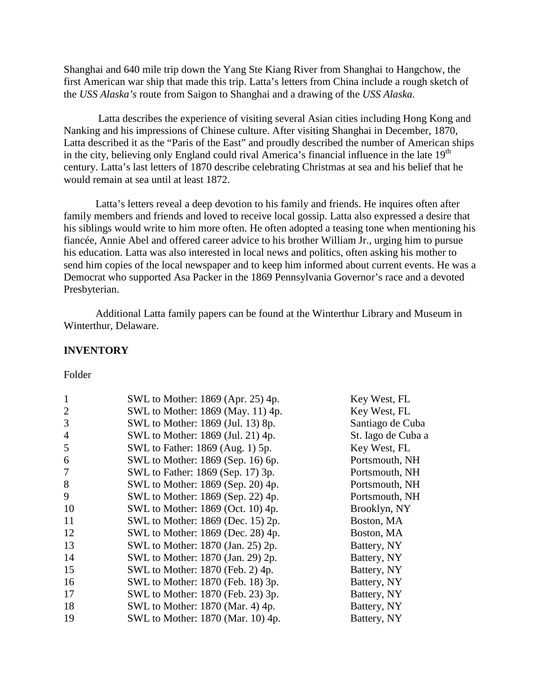Shanghai and 640 mile trip down the Yang Ste Kiang River from Shanghai to Hangchow, the first American war ship that made this trip. Latta's letters from China include a rough sketch of the *USS Alaska's* route from Saigon to Shanghai and a drawing of the *USS Alaska.*

Latta describes the experience of visiting several Asian cities including Hong Kong and Nanking and his impressions of Chinese culture. After visiting Shanghai in December, 1870, Latta described it as the "Paris of the East" and proudly described the number of American ships in the city, believing only England could rival America's financial influence in the late  $19<sup>th</sup>$ century. Latta's last letters of 1870 describe celebrating Christmas at sea and his belief that he would remain at sea until at least 1872.

Latta's letters reveal a deep devotion to his family and friends. He inquires often after family members and friends and loved to receive local gossip. Latta also expressed a desire that his siblings would write to him more often. He often adopted a teasing tone when mentioning his fiancée, Annie Abel and offered career advice to his brother William Jr., urging him to pursue his education. Latta was also interested in local news and politics, often asking his mother to send him copies of the local newspaper and to keep him informed about current events. He was a Democrat who supported Asa Packer in the 1869 Pennsylvania Governor's race and a devoted Presbyterian.

Additional Latta family papers can be found at the Winterthur Library and Museum in Winterthur, Delaware.

#### **INVENTORY**

Folder

| $\mathbf{1}$   | SWL to Mother: 1869 (Apr. 25) 4p. | Key West, FL       |
|----------------|-----------------------------------|--------------------|
| $\overline{2}$ | SWL to Mother: 1869 (May. 11) 4p. | Key West, FL       |
| 3              | SWL to Mother: 1869 (Jul. 13) 8p. | Santiago de Cuba   |
| $\overline{4}$ | SWL to Mother: 1869 (Jul. 21) 4p. | St. Iago de Cuba a |
| 5              | SWL to Father: 1869 (Aug. 1) 5p.  | Key West, FL       |
| 6              | SWL to Mother: 1869 (Sep. 16) 6p. | Portsmouth, NH     |
| 7              | SWL to Father: 1869 (Sep. 17) 3p. | Portsmouth, NH     |
| 8              | SWL to Mother: 1869 (Sep. 20) 4p. | Portsmouth, NH     |
| 9              | SWL to Mother: 1869 (Sep. 22) 4p. | Portsmouth, NH     |
| 10             | SWL to Mother: 1869 (Oct. 10) 4p. | Brooklyn, NY       |
| 11             | SWL to Mother: 1869 (Dec. 15) 2p. | Boston, MA         |
| 12             | SWL to Mother: 1869 (Dec. 28) 4p. | Boston, MA         |
| 13             | SWL to Mother: 1870 (Jan. 25) 2p. | Battery, NY        |
| 14             | SWL to Mother: 1870 (Jan. 29) 2p. | Battery, NY        |
| 15             | SWL to Mother: 1870 (Feb. 2) 4p.  | Battery, NY        |
| 16             | SWL to Mother: 1870 (Feb. 18) 3p. | Battery, NY        |
| 17             | SWL to Mother: 1870 (Feb. 23) 3p. | Battery, NY        |
| 18             | SWL to Mother: 1870 (Mar. 4) 4p.  | Battery, NY        |
| 19             | SWL to Mother: 1870 (Mar. 10) 4p. | Battery, NY        |